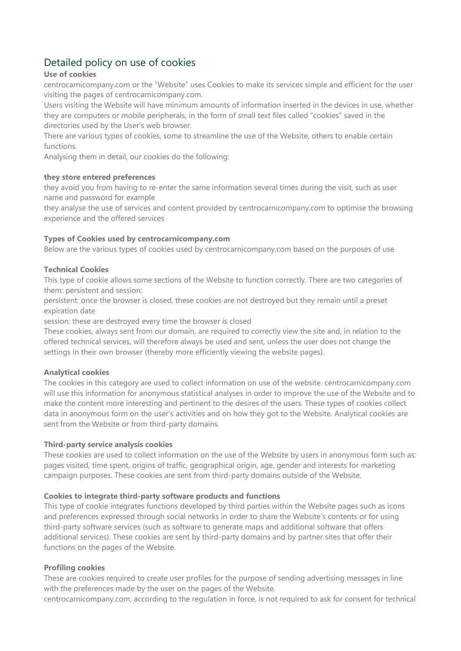# Detailed policy on use of cookies

# **Use of cookies**

centrocarnicompany.com or the "Website" uses Cookies to make its services simple and efficient for the user visiting the pages of centrocarnicompany.com.

Users visiting the Website will have minimum amounts of information inserted in the devices in use, whether they are computers or mobile peripherals, in the form of small text files called "cookies" saved in the directories used by the User's web browser.

There are various types of cookies, some to streamline the use of the Website, others to enable certain functions.

Analysing them in detail, our cookies do the following:

# **they store entered preferences**

they avoid you from having to re-enter the same information several times during the visit, such as user name and password for example

they analyse the use of services and content provided by centrocarnicompany.com to optimise the browsing experience and the offered services

# **Types of Cookies used by centrocarnicompany.com**

Below are the various types of cookies used by centrocarnicompany.com based on the purposes of use

# **Technical Cookies**

This type of cookie allows some sections of the Website to function correctly. There are two categories of them: persistent and session:

persistent: once the browser is closed, these cookies are not destroyed but they remain until a preset expiration date

session: these are destroyed every time the browser is closed

These cookies, always sent from our domain, are required to correctly view the site and, in relation to the offered technical services, will therefore always be used and sent, unless the user does not change the settings in their own browser (thereby more efficiently viewing the website pages).

#### **Analytical cookies**

The cookies in this category are used to collect information on use of the website. centrocarnicompany.com will use this information for anonymous statistical analyses in order to improve the use of the Website and to make the content more interesting and pertinent to the desires of the users. These types of cookies collect data in anonymous form on the user's activities and on how they got to the Website. Analytical cookies are sent from the Website or from third-party domains.

#### **Third-party service analysis cookies**

These cookies are used to collect information on the use of the Website by users in anonymous form such as: pages visited, time spent, origins of traffic, geographical origin, age, gender and interests for marketing campaign purposes. These cookies are sent from third-party domains outside of the Website.

#### **Cookies to integrate third-party software products and functions**

This type of cookie integrates functions developed by third parties within the Website pages such as icons and preferences expressed through social networks in order to share the Website's contents or for using third-party software services (such as software to generate maps and additional software that offers additional services). These cookies are sent by third-party domains and by partner sites that offer their functions on the pages of the Website.

#### **Profiling cookies**

These are cookies required to create user profiles for the purpose of sending advertising messages in line with the preferences made by the user on the pages of the Website.

centrocarnicompany.com, according to the regulation in force, is not required to ask for consent for technical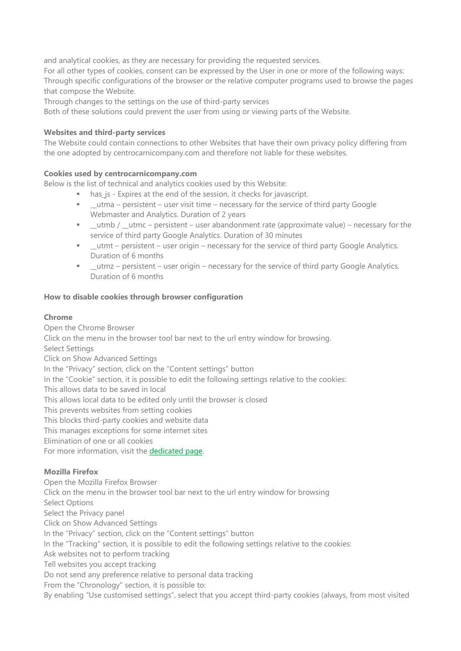and analytical cookies, as they are necessary for providing the requested services.

For all other types of cookies, consent can be expressed by the User in one or more of the following ways: Through specific configurations of the browser or the relative computer programs used to browse the pages that compose the Website.

Through changes to the settings on the use of third-party services

Both of these solutions could prevent the user from using or viewing parts of the Website.

#### **Websites and third-party services**

The Website could contain connections to other Websites that have their own privacy policy differing from the one adopted by centrocarnicompany.com and therefore not liable for these websites.

# **Cookies used by centrocarnicompany.com**

Below is the list of technical and analytics cookies used by this Website:

- has js Expires at the end of the session, it checks for javascript.
- utma persistent user visit time necessary for the service of third party Google Webmaster and Analytics. Duration of 2 years
- $\blacksquare$  \_utmb / \_utmc persistent user abandonment rate (approximate value) necessary for the service of third party Google Analytics. Duration of 30 minutes
- **■** utmt persistent user origin necessary for the service of third party Google Analytics. Duration of 6 months
- Lutmz persistent user origin necessary for the service of third party Google Analytics. Duration of 6 months

# **How to disable cookies through browser configuration**

# **Chrome**

Open the Chrome Browser Click on the menu in the browser tool bar next to the url entry window for browsing. Select Settings Click on Show Advanced Settings In the "Privacy" section, click on the "Content settings" button In the "Cookie" section, it is possible to edit the following settings relative to the cookies: This allows data to be saved in local This allows local data to be edited only until the browser is closed This prevents websites from setting cookies This blocks third-party cookies and website data This manages exceptions for some internet sites Elimination of one or all cookies For more information, visit the [dedicated](https://support.google.com/accounts/answer/61416?hl=en) page.

# **Mozilla Firefox**

Open the Mozilla Firefox Browser Click on the menu in the browser tool bar next to the url entry window for browsing Select Options Select the Privacy panel Click on Show Advanced Settings In the "Privacy" section, click on the "Content settings" button In the "Tracking" section, it is possible to edit the following settings relative to the cookies: Ask websites not to perform tracking Tell websites you accept tracking Do not send any preference relative to personal data tracking From the "Chronology" section, it is possible to: By enabling "Use customised settings", select that you accept third-party cookies (always, from most visited